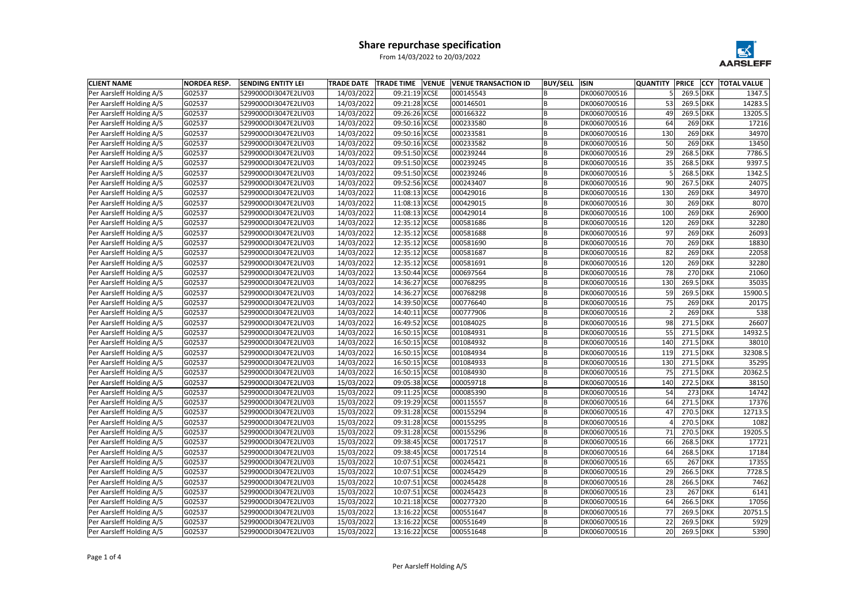| <b>CLIENT NAME</b>              | <b>NORDEA RESP.</b> | <b>SENDING ENTITY LEI</b> | <b>TRADE DATE</b> | <b>TRADE TIME VENUE</b> | <b>VENUE TRANSACTION ID</b> | <b>BUY/SELL</b> | <b>ISIN</b>  | <b>QUANTITY</b> | <b>PRICE</b> | <b>CCY</b> | <b>TOTAL VALUE</b> |
|---------------------------------|---------------------|---------------------------|-------------------|-------------------------|-----------------------------|-----------------|--------------|-----------------|--------------|------------|--------------------|
| Per Aarsleff Holding A/S        | G02537              | 529900ODI3047E2LIV03      | 14/03/2022        | 09:21:19 XCSE           | 000145543                   |                 | DK0060700516 |                 | 269.5 DKK    |            | 1347.5             |
| Per Aarsleff Holding A/S        | G02537              | 529900ODI3047E2LIV03      | 14/03/2022        | 09:21:28 XCSE           | 000146501                   | ΙB              | DK0060700516 | 53              | 269.5 DKK    |            | 14283.5            |
| Per Aarsleff Holding A/S        | G02537              | 529900ODI3047E2LIV03      | 14/03/2022        | 09:26:26 XCSE           | 000166322                   |                 | DK0060700516 | 49              | 269.5 DKK    |            | 13205.5            |
| Per Aarsleff Holding A/S        | G02537              | 529900ODI3047E2LIV03      | 14/03/2022        | 09:50:16 XCSE           | 000233580                   |                 | DK0060700516 | 64              |              | $269$ DKK  | 17216              |
| Per Aarsleff Holding A/S        | G02537              | 529900ODI3047E2LIV03      | 14/03/2022        | 09:50:16 XCSE           | 000233581                   | l B             | DK0060700516 | 130             |              | $269$ DKK  | 34970              |
| Per Aarsleff Holding A/S        | G02537              | 529900ODI3047E2LIV03      | 14/03/2022        | 09:50:16 XCSE           | 000233582                   |                 | DK0060700516 | 50              |              | $269$ DKK  | 13450              |
| Per Aarsleff Holding A/S        | G02537              | 529900ODI3047E2LIV03      | 14/03/2022        | 09:51:50 XCSE           | 000239244                   | ΙB              | DK0060700516 | 29              | 268.5 DKK    |            | 7786.5             |
| Per Aarsleff Holding A/S        | G02537              | 529900ODI3047E2LIV03      | 14/03/2022        | 09:51:50 XCSE           | 000239245                   | B               | DK0060700516 | 35              | 268.5 DKK    |            | 9397.5             |
| Per Aarsleff Holding A/S        | G02537              | 529900ODI3047E2LIV03      | 14/03/2022        | 09:51:50 XCSE           | 000239246                   | B               | DK0060700516 |                 | 268.5 DKK    |            | 1342.5             |
| Per Aarsleff Holding A/S        | G02537              | 529900ODI3047E2LIV03      | 14/03/2022        | 09:52:56 XCSE           | 000243407                   | ΙB              | DK0060700516 | 90              | 267.5 DKK    |            | 24075              |
| Per Aarsleff Holding A/S        | G02537              | 529900ODI3047E2LIV03      | 14/03/2022        | 11:08:13 XCSE           | 000429016                   |                 | DK0060700516 | 130             |              | $269$ DKK  | 34970              |
| Per Aarsleff Holding A/S        | G02537              | 529900ODI3047E2LIV03      | 14/03/2022        | 11:08:13 XCSE           | 000429015                   | ΙB              | DK0060700516 | 30              |              | $269$ DKK  | 8070               |
| Per Aarsleff Holding A/S        | G02537              | 529900ODI3047E2LIV03      | 14/03/2022        | 11:08:13 XCSE           | 000429014                   | B               | DK0060700516 | 100             |              | $269$ DKK  | 26900              |
| Per Aarsleff Holding A/S        | G02537              | 529900ODI3047E2LIV03      | 14/03/2022        | 12:35:12 XCSE           | 000581686                   | ΙB              | DK0060700516 | 120             |              | $269$ DKK  | 32280              |
| Per Aarsleff Holding A/S        | G02537              | 529900ODI3047E2LIV03      | 14/03/2022        | 12:35:12 XCSE           | 000581688                   | ΙB              | DK0060700516 | 97              |              | $269$ DKK  | 26093              |
| Per Aarsleff Holding A/S        | G02537              | 529900ODI3047E2LIV03      | 14/03/2022        | 12:35:12 XCSE           | 000581690                   |                 | DK0060700516 | 70              |              | $269$ DKK  | 18830              |
| Per Aarsleff Holding A/S        | G02537              | 529900ODI3047E2LIV03      | 14/03/2022        | 12:35:12 XCSE           | 000581687                   | ΙB              | DK0060700516 | 82              |              | $269$ DKK  | 22058              |
| Per Aarsleff Holding A/S        | G02537              | 529900ODI3047E2LIV03      | 14/03/2022        | 12:35:12 XCSE           | 000581691                   | l B             | DK0060700516 | 120             |              | $269$ DKK  | 32280              |
| Per Aarsleff Holding A/S        | G02537              | 529900ODI3047E2LIV03      | 14/03/2022        | 13:50:44 XCSE           | 000697564                   | ΙB              | DK0060700516 | 78              |              | $270$ DKK  | 21060              |
| Per Aarsleff Holding A/S        | G02537              | 529900ODI3047E2LIV03      | 14/03/2022        | 14:36:27 XCSE           | 000768295                   |                 | DK0060700516 | 130             | 269.5 DKK    |            | 35035              |
| Per Aarsleff Holding A/S        | G02537              | 529900ODI3047E2LIV03      | 14/03/2022        | 14:36:27 XCSE           | 000768298                   |                 | DK0060700516 | 59              | 269.5 DKK    |            | 15900.5            |
| Per Aarsleff Holding A/S        | G02537              | 529900ODI3047E2LIV03      | 14/03/2022        | 14:39:50 XCSE           | 000776640                   |                 | DK0060700516 | 75              |              | $269$ DKK  | 20175              |
| Per Aarsleff Holding A/S        | G02537              | 529900ODI3047E2LIV03      | 14/03/2022        | 14:40:11 XCSE           | 000777906                   | l B             | DK0060700516 |                 |              | $269$ DKK  | 538                |
| Per Aarsleff Holding A/S        | G02537              | 529900ODI3047E2LIV03      | 14/03/2022        | 16:49:52 XCSE           | 001084025                   |                 | DK0060700516 | 98              | 271.5 DKK    |            | 26607              |
| Per Aarsleff Holding A/S        | G02537              | 529900ODI3047E2LIV03      | 14/03/2022        | 16:50:15 XCSE           | 001084931                   | ΙB              | DK0060700516 | 55              | 271.5 DKK    |            | 14932.5            |
| Per Aarsleff Holding A/S        | G02537              | 529900ODI3047E2LIV03      | 14/03/2022        | 16:50:15 XCSE           | 001084932                   |                 | DK0060700516 | 140             | 271.5 DKK    |            | 38010              |
| Per Aarsleff Holding A/S        | G02537              | 529900ODI3047E2LIV03      | 14/03/2022        | 16:50:15 XCSE           | 001084934                   | ΙB              | DK0060700516 | 119             | 271.5 DKK    |            | 32308.5            |
| Per Aarsleff Holding A/S        | G02537              | 529900ODI3047E2LIV03      | 14/03/2022        | 16:50:15 XCSE           | 001084933                   | ΙB              | DK0060700516 | 130             | 271.5 DKK    |            | 35295              |
| Per Aarsleff Holding A/S        | G02537              | 529900ODI3047E2LIV03      | 14/03/2022        | 16:50:15 XCSE           | 001084930                   |                 | DK0060700516 | 75              | 271.5 DKK    |            | 20362.5            |
| Per Aarsleff Holding A/S        | G02537              | 529900ODI3047E2LIV03      | 15/03/2022        | 09:05:38 XCSE           | 000059718                   |                 | DK0060700516 | 140             | 272.5 DKK    |            | 38150              |
| <b>Per Aarsleff Holding A/S</b> | G02537              | 529900ODI3047E2LIV03      | 15/03/2022        | 09:11:25 XCSE           | 000085390                   | IB.             | DK0060700516 | 54              |              | 273 DKK    | 14742              |
| Per Aarsleff Holding A/S        | G02537              | 529900ODI3047E2LIV03      | 15/03/2022        | 09:19:29 XCSE           | 000115557                   | B               | DK0060700516 | 64              | 271.5 DKK    |            | 17376              |
| Per Aarsleff Holding A/S        | G02537              | 529900ODI3047E2LIV03      | 15/03/2022        | 09:31:28 XCSE           | 000155294                   | ΙB              | DK0060700516 | 47              | 270.5 DKK    |            | 12713.5            |
| Per Aarsleff Holding A/S        | G02537              | 529900ODI3047E2LIV03      | 15/03/2022        | 09:31:28 XCSE           | 000155295                   |                 | DK0060700516 |                 | 270.5 DKK    |            | 1082               |
| Per Aarsleff Holding A/S        | G02537              | 529900ODI3047E2LIV03      | 15/03/2022        | 09:31:28 XCSE           | 000155296                   | ΙB              | DK0060700516 | 71              | 270.5 DKK    |            | 19205.5            |
| Per Aarsleff Holding A/S        | G02537              | 529900ODI3047E2LIV03      | 15/03/2022        | 09:38:45 XCSE           | 000172517                   | l B             | DK0060700516 | 66              | 268.5 DKK    |            | 17721              |
| Per Aarsleff Holding A/S        | G02537              | 529900ODI3047E2LIV03      | 15/03/2022        | 09:38:45 XCSE           | 000172514                   | ΙB              | DK0060700516 | 64              | 268.5 DKK    |            | 17184              |
| Per Aarsleff Holding A/S        | G02537              | 529900ODI3047E2LIV03      | 15/03/2022        | 10:07:51 XCSE           | 000245421                   | ΙB              | DK0060700516 | 65              |              | $267$ DKK  | 17355              |
| Per Aarsleff Holding A/S        | G02537              | 529900ODI3047E2LIV03      | 15/03/2022        | 10:07:51 XCSE           | 000245429                   | ΙB              | DK0060700516 | 29              | 266.5 DKK    |            | 7728.5             |
| Per Aarsleff Holding A/S        | G02537              | 529900ODI3047E2LIV03      | 15/03/2022        | 10:07:51 XCSE           | 000245428                   | l B             | DK0060700516 | 28              | 266.5 DKK    |            | 7462               |
| Per Aarsleff Holding A/S        | G02537              | 529900ODI3047E2LIV03      | 15/03/2022        | 10:07:51 XCSE           | 000245423                   | ΙB.             | DK0060700516 | 23              |              | $267$ DKK  | 6141               |
| Per Aarsleff Holding A/S        | G02537              | 529900ODI3047E2LIV03      | 15/03/2022        | 10:21:18 XCSE           | 000277320                   | ΙB              | DK0060700516 | 64              | 266.5 DKK    |            | 17056              |
| Per Aarsleff Holding A/S        | G02537              | 529900ODI3047E2LIV03      | 15/03/2022        | 13:16:22 XCSE           | 000551647                   | l B             | DK0060700516 | 77              | 269.5 DKK    |            | 20751.5            |
| Per Aarsleff Holding A/S        | G02537              | 529900ODI3047E2LIV03      | 15/03/2022        | 13:16:22 XCSE           | 000551649                   | ΙB.             | DK0060700516 | 22              | 269.5 DKK    |            | 5929               |
| Per Aarsleff Holding A/S        | G02537              | 529900ODI3047E2LIV03      | 15/03/2022        | 13:16:22 XCSE           | 000551648                   | B               | DK0060700516 | 20              | 269.5 DKK    |            | 5390               |

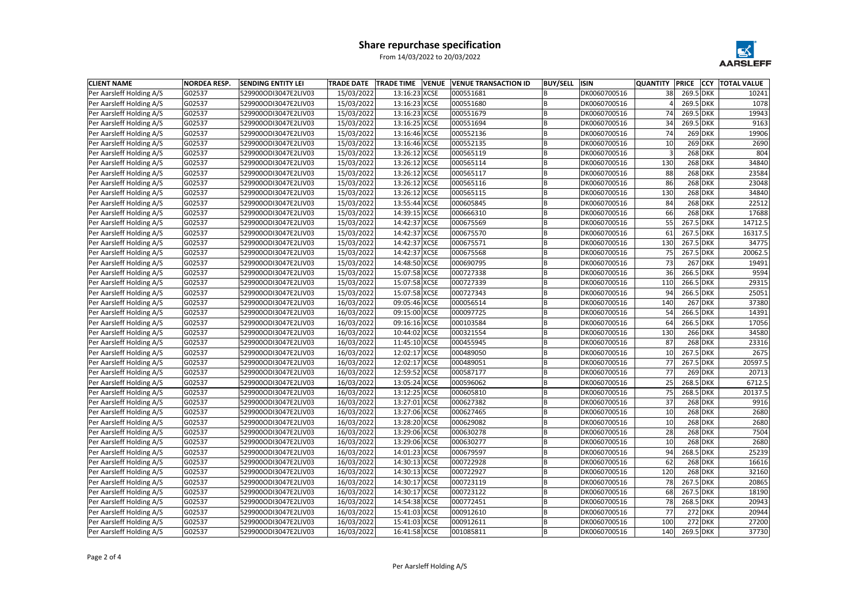| <b>CLIENT NAME</b><br><b>NORDEA RESP.</b><br><b>SENDING ENTITY LEI</b><br><b>TRADE DATE</b><br><b>TRADE TIME VENUE</b><br><b>VENUE TRANSACTION ID</b><br><b>BUY/SELL</b><br><b>ISIN</b> | <b>QUANTITY</b> | <b>PRICE</b> | <b>CCY TOTAL VALUE</b> |         |
|-----------------------------------------------------------------------------------------------------------------------------------------------------------------------------------------|-----------------|--------------|------------------------|---------|
| DK0060700516<br>Per Aarsleff Holding A/S<br>G02537<br>529900ODI3047E2LIV03<br>15/03/2022<br>13:16:23 XCSE<br>000551681                                                                  | 38              | 269.5 DKK    |                        | 10241   |
| Per Aarsleff Holding A/S<br>G02537<br>529900ODI3047E2LIV03<br>15/03/2022<br>13:16:23 XCSE<br>000551680<br>DK0060700516<br>ΙB                                                            |                 | 269.5 DKK    |                        | 1078    |
| Per Aarsleff Holding A/S<br>G02537<br>13:16:23 XCSE<br>DK0060700516<br>529900ODI3047E2LIV03<br>15/03/2022<br>000551679                                                                  | 74              | 269.5 DKK    |                        | 19943   |
| Per Aarsleff Holding A/S<br>G02537<br>15/03/2022<br>13:16:25 XCSE<br>000551694<br>529900ODI3047E2LIV03<br>DK0060700516                                                                  | 34              | 269.5 DKK    |                        | 9163    |
| Per Aarsleff Holding A/S<br>G02537<br>15/03/2022<br>13:16:46 XCSE<br>000552136<br>DK0060700516<br>529900ODI3047E2LIV03<br>ΙB                                                            | 74              |              | $269$ DKK              | 19906   |
| Per Aarsleff Holding A/S<br>G02537<br>15/03/2022<br>13:16:46 XCSE<br>000552135<br>DK0060700516<br>529900ODI3047E2LIV03                                                                  | 10              | $269$ DKK    |                        | 2690    |
| Per Aarsleff Holding A/S<br>G02537<br>529900ODI3047E2LIV03<br>15/03/2022<br>13:26:12 XCSE<br>000565119<br>ΙB<br>DK0060700516                                                            |                 | $268$ DKK    |                        | 804     |
| Per Aarsleff Holding A/S<br>G02537<br>529900ODI3047E2LIV03<br>15/03/2022<br>13:26:12 XCSE<br>000565114<br>B<br>DK0060700516                                                             | 130             | $268$ DKK    |                        | 34840   |
| Per Aarsleff Holding A/S<br>G02537<br>529900ODI3047E2LIV03<br>15/03/2022<br>13:26:12 XCSE<br>000565117<br>B<br>DK0060700516                                                             | 88              |              | $268$ DKK              | 23584   |
| 000565116<br>Per Aarsleff Holding A/S<br>G02537<br>529900ODI3047E2LIV03<br>15/03/2022<br>13:26:12 XCSE<br>DK0060700516<br>ΙB                                                            | 86              | $268$ DKK    |                        | 23048   |
| Per Aarsleff Holding A/S<br>G02537<br>15/03/2022<br>13:26:12 XCSE<br>000565115<br>DK0060700516<br>529900ODI3047E2LIV03                                                                  | 130             | $268$ DKK    |                        | 34840   |
| Per Aarsleff Holding A/S<br>G02537<br>529900ODI3047E2LIV03<br>15/03/2022<br>13:55:44 XCSE<br>000605845<br>DK0060700516<br>ΙB                                                            | 84              | $268$ DKK    |                        | 22512   |
| Per Aarsleff Holding A/S<br>G02537<br>529900ODI3047E2LIV03<br>15/03/2022<br>14:39:15 XCSE<br>000666310<br>B<br>DK0060700516                                                             | 66              | $268$ DKK    |                        | 17688   |
| Per Aarsleff Holding A/S<br>G02537<br>14:42:37 XCSE<br>000675569<br>DK0060700516<br>529900ODI3047E2LIV03<br>15/03/2022<br>ΙB                                                            | 55              | 267.5 DKK    |                        | 14712.5 |
| Per Aarsleff Holding A/S<br>G02537<br>529900ODI3047E2LIV03<br>15/03/2022<br>14:42:37 XCSE<br>000675570<br>DK0060700516                                                                  | 61              | 267.5 DKK    |                        | 16317.5 |
| Per Aarsleff Holding A/S<br>G02537<br>529900ODI3047E2LIV03<br>15/03/2022<br>14:42:37 XCSE<br>000675571<br>DK0060700516                                                                  | 130             | 267.5 DKK    |                        | 34775   |
| Per Aarsleff Holding A/S<br>G02537<br>15/03/2022<br>14:42:37 XCSE<br>000675568<br>ΙB<br>DK0060700516<br>529900ODI3047E2LIV03                                                            | 75              | 267.5 DKK    |                        | 20062.5 |
| Per Aarsleff Holding A/S<br>G02537<br>529900ODI3047E2LIV03<br>15/03/2022<br>14:48:50 XCSE<br>000690795<br>DK0060700516<br>l B                                                           | 73              | $267$ DKK    |                        | 19491   |
| Per Aarsleff Holding A/S<br>G02537<br>15:07:58 XCSE<br>000727338<br>DK0060700516<br>529900ODI3047E2LIV03<br>15/03/2022<br>ΙB                                                            | 36              | 266.5 DKK    |                        | 9594    |
| 000727339<br>Per Aarsleff Holding A/S<br>G02537<br>529900ODI3047E2LIV03<br>15/03/2022<br>15:07:58 XCSE<br>DK0060700516                                                                  | 110             | 266.5 DKK    |                        | 29315   |
| 000727343<br>Per Aarsleff Holding A/S<br>G02537<br>529900ODI3047E2LIV03<br>15/03/2022<br>15:07:58 XCSE<br>DK0060700516                                                                  | 94              | 266.5 DKK    |                        | 25051   |
| Per Aarsleff Holding A/S<br>G02537<br>16/03/2022<br>09:05:46 XCSE<br>000056514<br>DK0060700516<br>529900ODI3047E2LIV03                                                                  | 140             |              | $267$ DKK              | 37380   |
| 000097725<br>Per Aarsleff Holding A/S<br>G02537<br>529900ODI3047E2LIV03<br>09:15:00 XCSE<br>DK0060700516<br>16/03/2022<br>l B                                                           | 54              | 266.5 DKK    |                        | 14391   |
| Per Aarsleff Holding A/S<br>G02537<br>09:16:16 XCSE<br>529900ODI3047E2LIV03<br>16/03/2022<br>000103584<br>DK0060700516                                                                  | 64              | 266.5 DKK    |                        | 17056   |
| Per Aarsleff Holding A/S<br>G02537<br>529900ODI3047E2LIV03<br>16/03/2022<br>10:44:02 XCSE<br>000321554<br>DK0060700516<br>ΙB                                                            | 130             | $266$ DKK    |                        | 34580   |
| Per Aarsleff Holding A/S<br>G02537<br>529900ODI3047E2LIV03<br>16/03/2022<br>11:45:10 XCSE<br>000455945<br>DK0060700516                                                                  | 87              | $268$ DKK    |                        | 23316   |
| Per Aarsleff Holding A/S<br>G02537<br>000489050<br>529900ODI3047E2LIV03<br>16/03/2022<br>12:02:17 XCSE<br>ΙB<br>DK0060700516                                                            | 10              | 267.5 DKK    |                        | 2675    |
| Per Aarsleff Holding A/S<br>G02537<br>529900ODI3047E2LIV03<br>16/03/2022<br>12:02:17 XCSE<br>000489051<br>ΙB<br>DK0060700516                                                            | 77              | 267.5 DKK    |                        | 20597.5 |
| Per Aarsleff Holding A/S<br>12:59:52 XCSE<br>G02537<br>529900ODI3047E2LIV03<br>16/03/2022<br>000587177<br>DK0060700516                                                                  | 77              | $269$ DKK    |                        | 20713   |
| 13:05:24 XCSE<br>Per Aarsleff Holding A/S<br>G02537<br>529900ODI3047E2LIV03<br>16/03/2022<br>000596062<br>DK0060700516                                                                  | 25              | 268.5 DKK    |                        | 6712.5  |
| 16/03/2022<br><b>Per Aarsleff Holding A/S</b><br>G02537<br>529900ODI3047E2LIV03<br>13:12:25 XCSE<br>000605810<br>IB.<br>DK0060700516                                                    | 75              | 268.5 DKK    |                        | 20137.5 |
| Per Aarsleff Holding A/S<br>G02537<br>16/03/2022<br>000627382<br>DK0060700516<br>529900ODI3047E2LIV03<br>13:27:01 XCSE<br>ΙB.                                                           | 37              | $268$ DKK    |                        | 9916    |
| Per Aarsleff Holding A/S<br>G02537<br>529900ODI3047E2LIV03<br>16/03/2022<br>13:27:06 XCSE<br>000627465<br>DK0060700516<br>ΙB                                                            | 10              | $268$ DKK    |                        | 2680    |
| Per Aarsleff Holding A/S<br>G02537<br>529900ODI3047E2LIV03<br>16/03/2022<br>13:28:20 XCSE<br>000629082<br>DK0060700516                                                                  | 10              | $268$ DKK    |                        | 2680    |
| Per Aarsleff Holding A/S<br>G02537<br>13:29:06 XCSE<br>000630278<br>529900ODI3047E2LIV03<br>16/03/2022<br>ΙB<br>DK0060700516                                                            | 28              |              | $268$ DKK              | 7504    |
| Per Aarsleff Holding A/S<br>000630277<br>DK0060700516<br>G02537<br>529900ODI3047E2LIV03<br>16/03/2022<br>13:29:06 XCSE<br>l B                                                           | 10              |              | $268$ DKK              | 2680    |
| Per Aarsleff Holding A/S<br>G02537<br>529900ODI3047E2LIV03<br>16/03/2022<br>14:01:23 XCSE<br>000679597<br>DK0060700516<br>ΙB                                                            | 94              | 268.5 DKK    |                        | 25239   |
| Per Aarsleff Holding A/S<br>G02537<br>529900ODI3047E2LIV03<br>16/03/2022<br>14:30:13 XCSE<br>000722928<br>ΙB<br>DK0060700516                                                            | 62              |              | $268$ DKK              | 16616   |
| Per Aarsleff Holding A/S<br>G02537<br>529900ODI3047E2LIV03<br>16/03/2022<br>14:30:13 XCSE<br>000722927<br>DK0060700516<br>ΙB                                                            | 120             | $268$ DKK    |                        | 32160   |
| Per Aarsleff Holding A/S<br>G02537<br>16/03/2022<br>14:30:17 XCSE<br>000723119<br>DK0060700516<br>529900ODI3047E2LIV03<br>l B                                                           | 78              | 267.5 DKK    |                        | 20865   |
| Per Aarsleff Holding A/S<br>000723122<br>DK0060700516<br>G02537<br>529900ODI3047E2LIV03<br>16/03/2022<br>14:30:17 XCSE<br>l B                                                           | 68              | 267.5 DKK    |                        | 18190   |
| Per Aarsleff Holding A/S<br>G02537<br>529900ODI3047E2LIV03<br>16/03/2022<br>14:54:38 XCSE<br>000772451<br>DK0060700516<br>ΙB                                                            | 78              | 268.5 DKK    |                        | 20943   |
| Per Aarsleff Holding A/S<br>G02537<br>529900ODI3047E2LIV03<br>16/03/2022<br>15:41:03 XCSE<br>000912610<br>l B<br>DK0060700516                                                           | 77              | $272$ DKK    |                        | 20944   |
| Per Aarsleff Holding A/S<br>G02537<br>529900ODI3047E2LIV03<br>16/03/2022<br>15:41:03 XCSE<br>000912611<br>DK0060700516<br>ΙB.                                                           | 100             | $272$ DKK    |                        | 27200   |
| Per Aarsleff Holding A/S<br>G02537<br>16/03/2022<br>16:41:58 XCSE<br>001085811<br> B<br>DK0060700516<br>529900ODI3047E2LIV03                                                            | 140             | 269.5 DKK    |                        | 37730   |

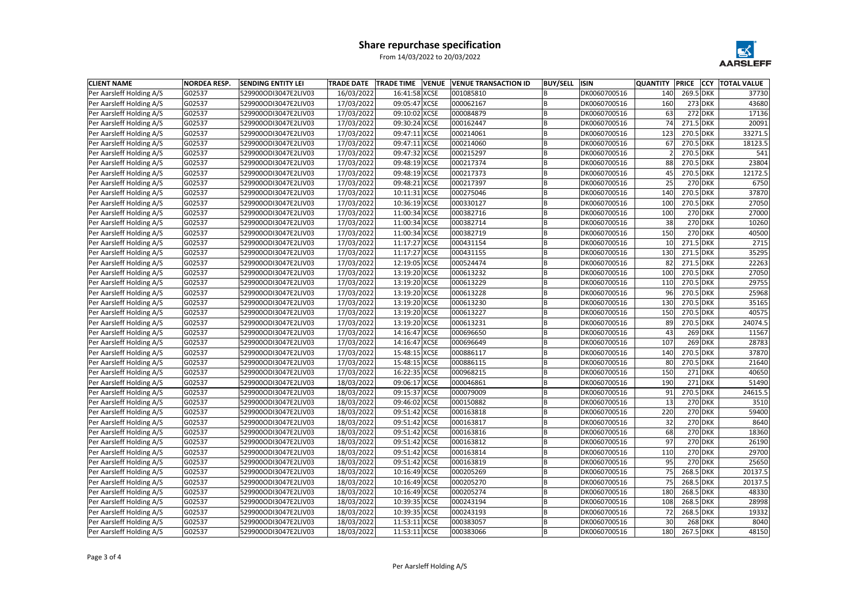| DK0060700516<br>Per Aarsleff Holding A/S<br>G02537<br>529900ODI3047E2LIV03<br>16/03/2022<br>16:41:58 XCSE<br>001085810<br>269.5 DKK<br>37730<br>140<br>Per Aarsleff Holding A/S<br>G02537<br>529900ODI3047E2LIV03<br>17/03/2022<br>09:05:47 XCSE<br>000062167<br>DK0060700516<br>160<br>$273$ DKK<br>43680<br>ΙB<br>Per Aarsleff Holding A/S<br>G02537<br>09:10:02 XCSE<br>63<br>17136<br>529900ODI3047E2LIV03<br>17/03/2022<br>000084879<br>DK0060700516<br>$272$ DKK<br>Per Aarsleff Holding A/S<br>G02537<br>17/03/2022<br>09:30:24 XCSE<br>000162447<br>74<br>271.5 DKK<br>20091<br>529900ODI3047E2LIV03<br>DK0060700516<br>Per Aarsleff Holding A/S<br>G02537<br>17/03/2022<br>09:47:11 XCSE<br>000214061<br>DK0060700516<br>123<br>33271.5<br>529900ODI3047E2LIV03<br>l B<br>270.5 DKK<br>18123.5<br>Per Aarsleff Holding A/S<br>G02537<br>17/03/2022<br>09:47:11 XCSE<br>000214060<br>DK0060700516<br>67<br>270.5 DKK<br>529900ODI3047E2LIV03<br>Per Aarsleff Holding A/S<br>G02537<br>529900ODI3047E2LIV03<br>17/03/2022<br>09:47:32 XCSE<br>000215297<br>ΙB<br>DK0060700516<br>270.5 DKK<br>541<br>23804<br>Per Aarsleff Holding A/S<br>88<br>G02537<br>529900ODI3047E2LIV03<br>17/03/2022<br>09:48:19 XCSE<br>000217374<br>B<br>DK0060700516<br>270.5 DKK<br>Per Aarsleff Holding A/S<br>G02537<br>529900ODI3047E2LIV03<br>17/03/2022<br>09:48:19 XCSE<br>000217373<br>B<br>DK0060700516<br>270.5 DKK<br>12172.5<br>45<br>000217397<br>6750<br>Per Aarsleff Holding A/S<br>G02537<br>17/03/2022<br>09:48:21 XCSE<br>DK0060700516<br>25<br>$270$ DKK<br>529900ODI3047E2LIV03<br>ΙB<br>Per Aarsleff Holding A/S<br>G02537<br>17/03/2022<br>10:11:31 XCSE<br>000275046<br>DK0060700516<br>270.5 DKK<br>37870<br>529900ODI3047E2LIV03<br>140<br>Per Aarsleff Holding A/S<br>G02537<br>529900ODI3047E2LIV03<br>17/03/2022<br>10:36:19 XCSE<br>000330127<br>DK0060700516<br>100<br>270.5 DKK<br>27050<br>ΙB<br>100<br>27000<br>Per Aarsleff Holding A/S<br>G02537<br>529900ODI3047E2LIV03<br>17/03/2022<br>11:00:34 XCSE<br>000382716<br>B<br>DK0060700516<br>270 DKK<br>Per Aarsleff Holding A/S<br>G02537<br>11:00:34 XCSE<br>000382714<br>DK0060700516<br>$270$ DKK<br>10260<br>529900ODI3047E2LIV03<br>17/03/2022<br>ΙB<br>38<br>000382719<br><b>270 DKK</b><br>Per Aarsleff Holding A/S<br>G02537<br>529900ODI3047E2LIV03<br>17/03/2022<br>11:00:34 XCSE<br>DK0060700516<br>150<br>40500<br>2715<br>Per Aarsleff Holding A/S<br>11:17:27 XCSE<br>G02537<br>529900ODI3047E2LIV03<br>17/03/2022<br>000431154<br>DK0060700516<br>10<br>271.5 DKK<br>35295<br>Per Aarsleff Holding A/S<br>G02537<br>17/03/2022<br>11:17:27 XCSE<br>000431155<br>ΙB<br>DK0060700516<br>130<br>271.5 DKK<br>529900ODI3047E2LIV03<br>Per Aarsleff Holding A/S<br>22263<br>G02537<br>529900ODI3047E2LIV03<br>17/03/2022<br>12:19:05 XCSE<br>000524474<br>DK0060700516<br>82<br>l B<br>271.5 DKK<br>Per Aarsleff Holding A/S<br>G02537<br>13:19:20 XCSE<br>000613232<br>DK0060700516<br>100<br>270.5 DKK<br>27050<br>529900ODI3047E2LIV03<br>17/03/2022<br>ΙB<br>29755<br>Per Aarsleff Holding A/S<br>G02537<br>529900ODI3047E2LIV03<br>17/03/2022<br>13:19:20 XCSE<br>000613229<br>DK0060700516<br>110<br>270.5 DKK<br>25968<br>270.5 DKK<br>Per Aarsleff Holding A/S<br>G02537<br>529900ODI3047E2LIV03<br>17/03/2022<br>13:19:20 XCSE<br>000613228<br>DK0060700516<br>96<br>Per Aarsleff Holding A/S<br>G02537<br>35165<br>17/03/2022<br>13:19:20 XCSE<br>000613230<br>DK0060700516<br>130<br>270.5 DKK<br>529900ODI3047E2LIV03<br>000613227<br>270.5 DKK<br>Per Aarsleff Holding A/S<br>G02537<br>529900ODI3047E2LIV03<br>13:19:20 XCSE<br>DK0060700516<br>150<br>40575<br>17/03/2022<br>l B<br>Per Aarsleff Holding A/S<br>G02537<br>24074.5<br>529900ODI3047E2LIV03<br>17/03/2022<br>13:19:20 XCSE<br>000613231<br>DK0060700516<br>89<br>270.5 DKK<br>$269$ DKK<br>Per Aarsleff Holding A/S<br>G02537<br>529900ODI3047E2LIV03<br>17/03/2022<br>14:16:47 XCSE<br>000696650<br>DK0060700516<br>11567<br>ΙB<br>43<br>107<br>28783<br>Per Aarsleff Holding A/S<br>G02537<br>17/03/2022<br>14:16:47 XCSE<br>000696649<br>DK0060700516<br>$269$ DKK<br>529900ODI3047E2LIV03<br>Per Aarsleff Holding A/S<br>G02537<br>000886117<br>270.5 DKK<br>37870<br>529900ODI3047E2LIV03<br>17/03/2022<br>15:48:15 XCSE<br>DK0060700516<br>140<br>270.5 DKK<br>21640<br>Per Aarsleff Holding A/S<br>G02537<br>529900ODI3047E2LIV03<br>17/03/2022<br>15:48:15 XCSE<br>000886115<br>ΙB<br>DK0060700516<br>80<br>Per Aarsleff Holding A/S<br>40650<br>G02537<br>529900ODI3047E2LIV03<br>17/03/2022<br>16:22:35 XCSE<br>000968215<br>DK0060700516<br>150<br>$271$ DKK<br>09:06:17 XCSE<br>Per Aarsleff Holding A/S<br>G02537<br>529900ODI3047E2LIV03<br>18/03/2022<br>000046861<br>DK0060700516<br>190<br>$271$ DKK<br>51490<br><b>Per Aarsleff Holding A/S</b><br>G02537<br>529900ODI3047E2LIV03<br>18/03/2022<br>09:15:37 XCSE<br>000079009<br>IB.<br> DK0060700516<br>270.5 DKK<br>24615.5<br>Per Aarsleff Holding A/S<br>G02537<br>000150882<br>DK0060700516<br>$270$ DKK<br>3510<br>529900ODI3047E2LIV03<br>18/03/2022<br>09:46:02 XCSE<br>13<br>ΙB.<br>Per Aarsleff Holding A/S<br>G02537<br>529900ODI3047E2LIV03<br>18/03/2022<br>09:51:42 XCSE<br>000163818<br>DK0060700516<br>220<br>$270$ DKK<br>59400<br>١B<br>$270$ DKK<br>8640<br>Per Aarsleff Holding A/S<br>G02537<br>529900ODI3047E2LIV03<br>18/03/2022<br>09:51:42 XCSE<br>000163817<br>DK0060700516<br>32<br>Per Aarsleff Holding A/S<br>G02537<br>000163816<br>68<br>529900ODI3047E2LIV03<br>18/03/2022<br>09:51:42 XCSE<br>ΙB<br>DK0060700516<br>$270$ DKK<br>18360<br>Per Aarsleff Holding A/S<br>000163812<br>$270$ DKK<br>G02537<br>529900ODI3047E2LIV03<br>18/03/2022<br>09:51:42 XCSE<br>DK0060700516<br>97<br>26190<br>l B<br>Per Aarsleff Holding A/S<br>G02537<br>529900ODI3047E2LIV03<br>09:51:42 XCSE<br>000163814<br>DK0060700516<br>$270$ DKK<br>29700<br>18/03/2022<br>ΙB<br>110<br>Per Aarsleff Holding A/S<br>G02537<br>18/03/2022<br>09:51:42 XCSE<br>000163819<br>ΙB<br>DK0060700516<br>95<br>$270$ DKK<br>529900ODI3047E2LIV03<br>25650<br>Per Aarsleff Holding A/S<br>G02537<br>529900ODI3047E2LIV03<br>18/03/2022<br>10:16:49 XCSE<br>000205269<br>DK0060700516<br>268.5 DKK<br>20137.5<br>ΙB<br>75<br>Per Aarsleff Holding A/S<br>G02537<br>18/03/2022<br>000205270<br>DK0060700516<br>268.5 DKK<br>529900ODI3047E2LIV03<br>10:16:49 XCSE<br>75<br>20137.5<br>l B<br>Per Aarsleff Holding A/S<br>000205274<br>268.5 DKK<br>48330<br>G02537<br>529900ODI3047E2LIV03<br>18/03/2022<br>10:16:49 XCSE<br>DK0060700516<br>180<br>l B<br>Per Aarsleff Holding A/S<br>28998<br>G02537<br>529900ODI3047E2LIV03<br>18/03/2022<br>10:39:35 XCSE<br>000243194<br>DK0060700516<br>108<br>268.5 DKK<br>ΙB<br>Per Aarsleff Holding A/S<br>G02537<br>529900ODI3047E2LIV03<br>18/03/2022<br>10:39:35 XCSE<br>000243193<br>l B<br>DK0060700516<br>72<br>268.5 DKK<br>19332<br>18/03/2022<br>30<br>$268$ DKK<br>8040<br>ΙB. | <b>CLIENT NAME</b>       | <b>NORDEA RESP.</b> | <b>SENDING ENTITY LEI</b> | <b>TRADE DATE</b> | <b>TRADE TIME VENUE</b> | <b>VENUE TRANSACTION ID</b> | <b>BUY/SELL</b> | <b>ISIN</b>  | <b>QUANTITY</b> | <b>PRICE</b> | <b>CCY TOTAL VALUE</b> |
|-------------------------------------------------------------------------------------------------------------------------------------------------------------------------------------------------------------------------------------------------------------------------------------------------------------------------------------------------------------------------------------------------------------------------------------------------------------------------------------------------------------------------------------------------------------------------------------------------------------------------------------------------------------------------------------------------------------------------------------------------------------------------------------------------------------------------------------------------------------------------------------------------------------------------------------------------------------------------------------------------------------------------------------------------------------------------------------------------------------------------------------------------------------------------------------------------------------------------------------------------------------------------------------------------------------------------------------------------------------------------------------------------------------------------------------------------------------------------------------------------------------------------------------------------------------------------------------------------------------------------------------------------------------------------------------------------------------------------------------------------------------------------------------------------------------------------------------------------------------------------------------------------------------------------------------------------------------------------------------------------------------------------------------------------------------------------------------------------------------------------------------------------------------------------------------------------------------------------------------------------------------------------------------------------------------------------------------------------------------------------------------------------------------------------------------------------------------------------------------------------------------------------------------------------------------------------------------------------------------------------------------------------------------------------------------------------------------------------------------------------------------------------------------------------------------------------------------------------------------------------------------------------------------------------------------------------------------------------------------------------------------------------------------------------------------------------------------------------------------------------------------------------------------------------------------------------------------------------------------------------------------------------------------------------------------------------------------------------------------------------------------------------------------------------------------------------------------------------------------------------------------------------------------------------------------------------------------------------------------------------------------------------------------------------------------------------------------------------------------------------------------------------------------------------------------------------------------------------------------------------------------------------------------------------------------------------------------------------------------------------------------------------------------------------------------------------------------------------------------------------------------------------------------------------------------------------------------------------------------------------------------------------------------------------------------------------------------------------------------------------------------------------------------------------------------------------------------------------------------------------------------------------------------------------------------------------------------------------------------------------------------------------------------------------------------------------------------------------------------------------------------------------------------------------------------------------------------------------------------------------------------------------------------------------------------------------------------------------------------------------------------------------------------------------------------------------------------------------------------------------------------------------------------------------------------------------------------------------------------------------------------------------------------------------------------------------------------------------------------------------------------------------------------------------------------------------------------------------------------------------------------------------------------------------------------------------------------------------------------------------------------------------------------------------------------------------------------------------------------------------------------------------------------------------------------------------------------------------------------------------------------------------------------------------------------------------------------------------------------------------------------------------------------------------------------------------------------------------------------------------------------------------------------------------------------------------------------------------------------------------------------------------------------------------------------------------------------------------------------------------------------------------------------------------------------------------------------------------------------------------------------------------------------------------------------------------------------------------------------------------------------------------------------------------------------------------------------------------------------------------------------------------------------------------------------------------------------------------------------------------------------------------------------------------------------------------------------------|--------------------------|---------------------|---------------------------|-------------------|-------------------------|-----------------------------|-----------------|--------------|-----------------|--------------|------------------------|
|                                                                                                                                                                                                                                                                                                                                                                                                                                                                                                                                                                                                                                                                                                                                                                                                                                                                                                                                                                                                                                                                                                                                                                                                                                                                                                                                                                                                                                                                                                                                                                                                                                                                                                                                                                                                                                                                                                                                                                                                                                                                                                                                                                                                                                                                                                                                                                                                                                                                                                                                                                                                                                                                                                                                                                                                                                                                                                                                                                                                                                                                                                                                                                                                                                                                                                                                                                                                                                                                                                                                                                                                                                                                                                                                                                                                                                                                                                                                                                                                                                                                                                                                                                                                                                                                                                                                                                                                                                                                                                                                                                                                                                                                                                                                                                                                                                                                                                                                                                                                                                                                                                                                                                                                                                                                                                                                                                                                                                                                                                                                                                                                                                                                                                                                                                                                                                                                                                                                                                                                                                                                                                                                                                                                                                                                                                                                                                                                                                                                                                                                                                                                                                                                                                                                                                                                                                                                                                                                                                   |                          |                     |                           |                   |                         |                             |                 |              |                 |              |                        |
|                                                                                                                                                                                                                                                                                                                                                                                                                                                                                                                                                                                                                                                                                                                                                                                                                                                                                                                                                                                                                                                                                                                                                                                                                                                                                                                                                                                                                                                                                                                                                                                                                                                                                                                                                                                                                                                                                                                                                                                                                                                                                                                                                                                                                                                                                                                                                                                                                                                                                                                                                                                                                                                                                                                                                                                                                                                                                                                                                                                                                                                                                                                                                                                                                                                                                                                                                                                                                                                                                                                                                                                                                                                                                                                                                                                                                                                                                                                                                                                                                                                                                                                                                                                                                                                                                                                                                                                                                                                                                                                                                                                                                                                                                                                                                                                                                                                                                                                                                                                                                                                                                                                                                                                                                                                                                                                                                                                                                                                                                                                                                                                                                                                                                                                                                                                                                                                                                                                                                                                                                                                                                                                                                                                                                                                                                                                                                                                                                                                                                                                                                                                                                                                                                                                                                                                                                                                                                                                                                                   |                          |                     |                           |                   |                         |                             |                 |              |                 |              |                        |
|                                                                                                                                                                                                                                                                                                                                                                                                                                                                                                                                                                                                                                                                                                                                                                                                                                                                                                                                                                                                                                                                                                                                                                                                                                                                                                                                                                                                                                                                                                                                                                                                                                                                                                                                                                                                                                                                                                                                                                                                                                                                                                                                                                                                                                                                                                                                                                                                                                                                                                                                                                                                                                                                                                                                                                                                                                                                                                                                                                                                                                                                                                                                                                                                                                                                                                                                                                                                                                                                                                                                                                                                                                                                                                                                                                                                                                                                                                                                                                                                                                                                                                                                                                                                                                                                                                                                                                                                                                                                                                                                                                                                                                                                                                                                                                                                                                                                                                                                                                                                                                                                                                                                                                                                                                                                                                                                                                                                                                                                                                                                                                                                                                                                                                                                                                                                                                                                                                                                                                                                                                                                                                                                                                                                                                                                                                                                                                                                                                                                                                                                                                                                                                                                                                                                                                                                                                                                                                                                                                   |                          |                     |                           |                   |                         |                             |                 |              |                 |              |                        |
|                                                                                                                                                                                                                                                                                                                                                                                                                                                                                                                                                                                                                                                                                                                                                                                                                                                                                                                                                                                                                                                                                                                                                                                                                                                                                                                                                                                                                                                                                                                                                                                                                                                                                                                                                                                                                                                                                                                                                                                                                                                                                                                                                                                                                                                                                                                                                                                                                                                                                                                                                                                                                                                                                                                                                                                                                                                                                                                                                                                                                                                                                                                                                                                                                                                                                                                                                                                                                                                                                                                                                                                                                                                                                                                                                                                                                                                                                                                                                                                                                                                                                                                                                                                                                                                                                                                                                                                                                                                                                                                                                                                                                                                                                                                                                                                                                                                                                                                                                                                                                                                                                                                                                                                                                                                                                                                                                                                                                                                                                                                                                                                                                                                                                                                                                                                                                                                                                                                                                                                                                                                                                                                                                                                                                                                                                                                                                                                                                                                                                                                                                                                                                                                                                                                                                                                                                                                                                                                                                                   |                          |                     |                           |                   |                         |                             |                 |              |                 |              |                        |
|                                                                                                                                                                                                                                                                                                                                                                                                                                                                                                                                                                                                                                                                                                                                                                                                                                                                                                                                                                                                                                                                                                                                                                                                                                                                                                                                                                                                                                                                                                                                                                                                                                                                                                                                                                                                                                                                                                                                                                                                                                                                                                                                                                                                                                                                                                                                                                                                                                                                                                                                                                                                                                                                                                                                                                                                                                                                                                                                                                                                                                                                                                                                                                                                                                                                                                                                                                                                                                                                                                                                                                                                                                                                                                                                                                                                                                                                                                                                                                                                                                                                                                                                                                                                                                                                                                                                                                                                                                                                                                                                                                                                                                                                                                                                                                                                                                                                                                                                                                                                                                                                                                                                                                                                                                                                                                                                                                                                                                                                                                                                                                                                                                                                                                                                                                                                                                                                                                                                                                                                                                                                                                                                                                                                                                                                                                                                                                                                                                                                                                                                                                                                                                                                                                                                                                                                                                                                                                                                                                   |                          |                     |                           |                   |                         |                             |                 |              |                 |              |                        |
|                                                                                                                                                                                                                                                                                                                                                                                                                                                                                                                                                                                                                                                                                                                                                                                                                                                                                                                                                                                                                                                                                                                                                                                                                                                                                                                                                                                                                                                                                                                                                                                                                                                                                                                                                                                                                                                                                                                                                                                                                                                                                                                                                                                                                                                                                                                                                                                                                                                                                                                                                                                                                                                                                                                                                                                                                                                                                                                                                                                                                                                                                                                                                                                                                                                                                                                                                                                                                                                                                                                                                                                                                                                                                                                                                                                                                                                                                                                                                                                                                                                                                                                                                                                                                                                                                                                                                                                                                                                                                                                                                                                                                                                                                                                                                                                                                                                                                                                                                                                                                                                                                                                                                                                                                                                                                                                                                                                                                                                                                                                                                                                                                                                                                                                                                                                                                                                                                                                                                                                                                                                                                                                                                                                                                                                                                                                                                                                                                                                                                                                                                                                                                                                                                                                                                                                                                                                                                                                                                                   |                          |                     |                           |                   |                         |                             |                 |              |                 |              |                        |
|                                                                                                                                                                                                                                                                                                                                                                                                                                                                                                                                                                                                                                                                                                                                                                                                                                                                                                                                                                                                                                                                                                                                                                                                                                                                                                                                                                                                                                                                                                                                                                                                                                                                                                                                                                                                                                                                                                                                                                                                                                                                                                                                                                                                                                                                                                                                                                                                                                                                                                                                                                                                                                                                                                                                                                                                                                                                                                                                                                                                                                                                                                                                                                                                                                                                                                                                                                                                                                                                                                                                                                                                                                                                                                                                                                                                                                                                                                                                                                                                                                                                                                                                                                                                                                                                                                                                                                                                                                                                                                                                                                                                                                                                                                                                                                                                                                                                                                                                                                                                                                                                                                                                                                                                                                                                                                                                                                                                                                                                                                                                                                                                                                                                                                                                                                                                                                                                                                                                                                                                                                                                                                                                                                                                                                                                                                                                                                                                                                                                                                                                                                                                                                                                                                                                                                                                                                                                                                                                                                   |                          |                     |                           |                   |                         |                             |                 |              |                 |              |                        |
|                                                                                                                                                                                                                                                                                                                                                                                                                                                                                                                                                                                                                                                                                                                                                                                                                                                                                                                                                                                                                                                                                                                                                                                                                                                                                                                                                                                                                                                                                                                                                                                                                                                                                                                                                                                                                                                                                                                                                                                                                                                                                                                                                                                                                                                                                                                                                                                                                                                                                                                                                                                                                                                                                                                                                                                                                                                                                                                                                                                                                                                                                                                                                                                                                                                                                                                                                                                                                                                                                                                                                                                                                                                                                                                                                                                                                                                                                                                                                                                                                                                                                                                                                                                                                                                                                                                                                                                                                                                                                                                                                                                                                                                                                                                                                                                                                                                                                                                                                                                                                                                                                                                                                                                                                                                                                                                                                                                                                                                                                                                                                                                                                                                                                                                                                                                                                                                                                                                                                                                                                                                                                                                                                                                                                                                                                                                                                                                                                                                                                                                                                                                                                                                                                                                                                                                                                                                                                                                                                                   |                          |                     |                           |                   |                         |                             |                 |              |                 |              |                        |
|                                                                                                                                                                                                                                                                                                                                                                                                                                                                                                                                                                                                                                                                                                                                                                                                                                                                                                                                                                                                                                                                                                                                                                                                                                                                                                                                                                                                                                                                                                                                                                                                                                                                                                                                                                                                                                                                                                                                                                                                                                                                                                                                                                                                                                                                                                                                                                                                                                                                                                                                                                                                                                                                                                                                                                                                                                                                                                                                                                                                                                                                                                                                                                                                                                                                                                                                                                                                                                                                                                                                                                                                                                                                                                                                                                                                                                                                                                                                                                                                                                                                                                                                                                                                                                                                                                                                                                                                                                                                                                                                                                                                                                                                                                                                                                                                                                                                                                                                                                                                                                                                                                                                                                                                                                                                                                                                                                                                                                                                                                                                                                                                                                                                                                                                                                                                                                                                                                                                                                                                                                                                                                                                                                                                                                                                                                                                                                                                                                                                                                                                                                                                                                                                                                                                                                                                                                                                                                                                                                   |                          |                     |                           |                   |                         |                             |                 |              |                 |              |                        |
|                                                                                                                                                                                                                                                                                                                                                                                                                                                                                                                                                                                                                                                                                                                                                                                                                                                                                                                                                                                                                                                                                                                                                                                                                                                                                                                                                                                                                                                                                                                                                                                                                                                                                                                                                                                                                                                                                                                                                                                                                                                                                                                                                                                                                                                                                                                                                                                                                                                                                                                                                                                                                                                                                                                                                                                                                                                                                                                                                                                                                                                                                                                                                                                                                                                                                                                                                                                                                                                                                                                                                                                                                                                                                                                                                                                                                                                                                                                                                                                                                                                                                                                                                                                                                                                                                                                                                                                                                                                                                                                                                                                                                                                                                                                                                                                                                                                                                                                                                                                                                                                                                                                                                                                                                                                                                                                                                                                                                                                                                                                                                                                                                                                                                                                                                                                                                                                                                                                                                                                                                                                                                                                                                                                                                                                                                                                                                                                                                                                                                                                                                                                                                                                                                                                                                                                                                                                                                                                                                                   |                          |                     |                           |                   |                         |                             |                 |              |                 |              |                        |
|                                                                                                                                                                                                                                                                                                                                                                                                                                                                                                                                                                                                                                                                                                                                                                                                                                                                                                                                                                                                                                                                                                                                                                                                                                                                                                                                                                                                                                                                                                                                                                                                                                                                                                                                                                                                                                                                                                                                                                                                                                                                                                                                                                                                                                                                                                                                                                                                                                                                                                                                                                                                                                                                                                                                                                                                                                                                                                                                                                                                                                                                                                                                                                                                                                                                                                                                                                                                                                                                                                                                                                                                                                                                                                                                                                                                                                                                                                                                                                                                                                                                                                                                                                                                                                                                                                                                                                                                                                                                                                                                                                                                                                                                                                                                                                                                                                                                                                                                                                                                                                                                                                                                                                                                                                                                                                                                                                                                                                                                                                                                                                                                                                                                                                                                                                                                                                                                                                                                                                                                                                                                                                                                                                                                                                                                                                                                                                                                                                                                                                                                                                                                                                                                                                                                                                                                                                                                                                                                                                   |                          |                     |                           |                   |                         |                             |                 |              |                 |              |                        |
|                                                                                                                                                                                                                                                                                                                                                                                                                                                                                                                                                                                                                                                                                                                                                                                                                                                                                                                                                                                                                                                                                                                                                                                                                                                                                                                                                                                                                                                                                                                                                                                                                                                                                                                                                                                                                                                                                                                                                                                                                                                                                                                                                                                                                                                                                                                                                                                                                                                                                                                                                                                                                                                                                                                                                                                                                                                                                                                                                                                                                                                                                                                                                                                                                                                                                                                                                                                                                                                                                                                                                                                                                                                                                                                                                                                                                                                                                                                                                                                                                                                                                                                                                                                                                                                                                                                                                                                                                                                                                                                                                                                                                                                                                                                                                                                                                                                                                                                                                                                                                                                                                                                                                                                                                                                                                                                                                                                                                                                                                                                                                                                                                                                                                                                                                                                                                                                                                                                                                                                                                                                                                                                                                                                                                                                                                                                                                                                                                                                                                                                                                                                                                                                                                                                                                                                                                                                                                                                                                                   |                          |                     |                           |                   |                         |                             |                 |              |                 |              |                        |
|                                                                                                                                                                                                                                                                                                                                                                                                                                                                                                                                                                                                                                                                                                                                                                                                                                                                                                                                                                                                                                                                                                                                                                                                                                                                                                                                                                                                                                                                                                                                                                                                                                                                                                                                                                                                                                                                                                                                                                                                                                                                                                                                                                                                                                                                                                                                                                                                                                                                                                                                                                                                                                                                                                                                                                                                                                                                                                                                                                                                                                                                                                                                                                                                                                                                                                                                                                                                                                                                                                                                                                                                                                                                                                                                                                                                                                                                                                                                                                                                                                                                                                                                                                                                                                                                                                                                                                                                                                                                                                                                                                                                                                                                                                                                                                                                                                                                                                                                                                                                                                                                                                                                                                                                                                                                                                                                                                                                                                                                                                                                                                                                                                                                                                                                                                                                                                                                                                                                                                                                                                                                                                                                                                                                                                                                                                                                                                                                                                                                                                                                                                                                                                                                                                                                                                                                                                                                                                                                                                   |                          |                     |                           |                   |                         |                             |                 |              |                 |              |                        |
|                                                                                                                                                                                                                                                                                                                                                                                                                                                                                                                                                                                                                                                                                                                                                                                                                                                                                                                                                                                                                                                                                                                                                                                                                                                                                                                                                                                                                                                                                                                                                                                                                                                                                                                                                                                                                                                                                                                                                                                                                                                                                                                                                                                                                                                                                                                                                                                                                                                                                                                                                                                                                                                                                                                                                                                                                                                                                                                                                                                                                                                                                                                                                                                                                                                                                                                                                                                                                                                                                                                                                                                                                                                                                                                                                                                                                                                                                                                                                                                                                                                                                                                                                                                                                                                                                                                                                                                                                                                                                                                                                                                                                                                                                                                                                                                                                                                                                                                                                                                                                                                                                                                                                                                                                                                                                                                                                                                                                                                                                                                                                                                                                                                                                                                                                                                                                                                                                                                                                                                                                                                                                                                                                                                                                                                                                                                                                                                                                                                                                                                                                                                                                                                                                                                                                                                                                                                                                                                                                                   |                          |                     |                           |                   |                         |                             |                 |              |                 |              |                        |
|                                                                                                                                                                                                                                                                                                                                                                                                                                                                                                                                                                                                                                                                                                                                                                                                                                                                                                                                                                                                                                                                                                                                                                                                                                                                                                                                                                                                                                                                                                                                                                                                                                                                                                                                                                                                                                                                                                                                                                                                                                                                                                                                                                                                                                                                                                                                                                                                                                                                                                                                                                                                                                                                                                                                                                                                                                                                                                                                                                                                                                                                                                                                                                                                                                                                                                                                                                                                                                                                                                                                                                                                                                                                                                                                                                                                                                                                                                                                                                                                                                                                                                                                                                                                                                                                                                                                                                                                                                                                                                                                                                                                                                                                                                                                                                                                                                                                                                                                                                                                                                                                                                                                                                                                                                                                                                                                                                                                                                                                                                                                                                                                                                                                                                                                                                                                                                                                                                                                                                                                                                                                                                                                                                                                                                                                                                                                                                                                                                                                                                                                                                                                                                                                                                                                                                                                                                                                                                                                                                   |                          |                     |                           |                   |                         |                             |                 |              |                 |              |                        |
|                                                                                                                                                                                                                                                                                                                                                                                                                                                                                                                                                                                                                                                                                                                                                                                                                                                                                                                                                                                                                                                                                                                                                                                                                                                                                                                                                                                                                                                                                                                                                                                                                                                                                                                                                                                                                                                                                                                                                                                                                                                                                                                                                                                                                                                                                                                                                                                                                                                                                                                                                                                                                                                                                                                                                                                                                                                                                                                                                                                                                                                                                                                                                                                                                                                                                                                                                                                                                                                                                                                                                                                                                                                                                                                                                                                                                                                                                                                                                                                                                                                                                                                                                                                                                                                                                                                                                                                                                                                                                                                                                                                                                                                                                                                                                                                                                                                                                                                                                                                                                                                                                                                                                                                                                                                                                                                                                                                                                                                                                                                                                                                                                                                                                                                                                                                                                                                                                                                                                                                                                                                                                                                                                                                                                                                                                                                                                                                                                                                                                                                                                                                                                                                                                                                                                                                                                                                                                                                                                                   |                          |                     |                           |                   |                         |                             |                 |              |                 |              |                        |
|                                                                                                                                                                                                                                                                                                                                                                                                                                                                                                                                                                                                                                                                                                                                                                                                                                                                                                                                                                                                                                                                                                                                                                                                                                                                                                                                                                                                                                                                                                                                                                                                                                                                                                                                                                                                                                                                                                                                                                                                                                                                                                                                                                                                                                                                                                                                                                                                                                                                                                                                                                                                                                                                                                                                                                                                                                                                                                                                                                                                                                                                                                                                                                                                                                                                                                                                                                                                                                                                                                                                                                                                                                                                                                                                                                                                                                                                                                                                                                                                                                                                                                                                                                                                                                                                                                                                                                                                                                                                                                                                                                                                                                                                                                                                                                                                                                                                                                                                                                                                                                                                                                                                                                                                                                                                                                                                                                                                                                                                                                                                                                                                                                                                                                                                                                                                                                                                                                                                                                                                                                                                                                                                                                                                                                                                                                                                                                                                                                                                                                                                                                                                                                                                                                                                                                                                                                                                                                                                                                   |                          |                     |                           |                   |                         |                             |                 |              |                 |              |                        |
|                                                                                                                                                                                                                                                                                                                                                                                                                                                                                                                                                                                                                                                                                                                                                                                                                                                                                                                                                                                                                                                                                                                                                                                                                                                                                                                                                                                                                                                                                                                                                                                                                                                                                                                                                                                                                                                                                                                                                                                                                                                                                                                                                                                                                                                                                                                                                                                                                                                                                                                                                                                                                                                                                                                                                                                                                                                                                                                                                                                                                                                                                                                                                                                                                                                                                                                                                                                                                                                                                                                                                                                                                                                                                                                                                                                                                                                                                                                                                                                                                                                                                                                                                                                                                                                                                                                                                                                                                                                                                                                                                                                                                                                                                                                                                                                                                                                                                                                                                                                                                                                                                                                                                                                                                                                                                                                                                                                                                                                                                                                                                                                                                                                                                                                                                                                                                                                                                                                                                                                                                                                                                                                                                                                                                                                                                                                                                                                                                                                                                                                                                                                                                                                                                                                                                                                                                                                                                                                                                                   |                          |                     |                           |                   |                         |                             |                 |              |                 |              |                        |
|                                                                                                                                                                                                                                                                                                                                                                                                                                                                                                                                                                                                                                                                                                                                                                                                                                                                                                                                                                                                                                                                                                                                                                                                                                                                                                                                                                                                                                                                                                                                                                                                                                                                                                                                                                                                                                                                                                                                                                                                                                                                                                                                                                                                                                                                                                                                                                                                                                                                                                                                                                                                                                                                                                                                                                                                                                                                                                                                                                                                                                                                                                                                                                                                                                                                                                                                                                                                                                                                                                                                                                                                                                                                                                                                                                                                                                                                                                                                                                                                                                                                                                                                                                                                                                                                                                                                                                                                                                                                                                                                                                                                                                                                                                                                                                                                                                                                                                                                                                                                                                                                                                                                                                                                                                                                                                                                                                                                                                                                                                                                                                                                                                                                                                                                                                                                                                                                                                                                                                                                                                                                                                                                                                                                                                                                                                                                                                                                                                                                                                                                                                                                                                                                                                                                                                                                                                                                                                                                                                   |                          |                     |                           |                   |                         |                             |                 |              |                 |              |                        |
|                                                                                                                                                                                                                                                                                                                                                                                                                                                                                                                                                                                                                                                                                                                                                                                                                                                                                                                                                                                                                                                                                                                                                                                                                                                                                                                                                                                                                                                                                                                                                                                                                                                                                                                                                                                                                                                                                                                                                                                                                                                                                                                                                                                                                                                                                                                                                                                                                                                                                                                                                                                                                                                                                                                                                                                                                                                                                                                                                                                                                                                                                                                                                                                                                                                                                                                                                                                                                                                                                                                                                                                                                                                                                                                                                                                                                                                                                                                                                                                                                                                                                                                                                                                                                                                                                                                                                                                                                                                                                                                                                                                                                                                                                                                                                                                                                                                                                                                                                                                                                                                                                                                                                                                                                                                                                                                                                                                                                                                                                                                                                                                                                                                                                                                                                                                                                                                                                                                                                                                                                                                                                                                                                                                                                                                                                                                                                                                                                                                                                                                                                                                                                                                                                                                                                                                                                                                                                                                                                                   |                          |                     |                           |                   |                         |                             |                 |              |                 |              |                        |
|                                                                                                                                                                                                                                                                                                                                                                                                                                                                                                                                                                                                                                                                                                                                                                                                                                                                                                                                                                                                                                                                                                                                                                                                                                                                                                                                                                                                                                                                                                                                                                                                                                                                                                                                                                                                                                                                                                                                                                                                                                                                                                                                                                                                                                                                                                                                                                                                                                                                                                                                                                                                                                                                                                                                                                                                                                                                                                                                                                                                                                                                                                                                                                                                                                                                                                                                                                                                                                                                                                                                                                                                                                                                                                                                                                                                                                                                                                                                                                                                                                                                                                                                                                                                                                                                                                                                                                                                                                                                                                                                                                                                                                                                                                                                                                                                                                                                                                                                                                                                                                                                                                                                                                                                                                                                                                                                                                                                                                                                                                                                                                                                                                                                                                                                                                                                                                                                                                                                                                                                                                                                                                                                                                                                                                                                                                                                                                                                                                                                                                                                                                                                                                                                                                                                                                                                                                                                                                                                                                   |                          |                     |                           |                   |                         |                             |                 |              |                 |              |                        |
|                                                                                                                                                                                                                                                                                                                                                                                                                                                                                                                                                                                                                                                                                                                                                                                                                                                                                                                                                                                                                                                                                                                                                                                                                                                                                                                                                                                                                                                                                                                                                                                                                                                                                                                                                                                                                                                                                                                                                                                                                                                                                                                                                                                                                                                                                                                                                                                                                                                                                                                                                                                                                                                                                                                                                                                                                                                                                                                                                                                                                                                                                                                                                                                                                                                                                                                                                                                                                                                                                                                                                                                                                                                                                                                                                                                                                                                                                                                                                                                                                                                                                                                                                                                                                                                                                                                                                                                                                                                                                                                                                                                                                                                                                                                                                                                                                                                                                                                                                                                                                                                                                                                                                                                                                                                                                                                                                                                                                                                                                                                                                                                                                                                                                                                                                                                                                                                                                                                                                                                                                                                                                                                                                                                                                                                                                                                                                                                                                                                                                                                                                                                                                                                                                                                                                                                                                                                                                                                                                                   |                          |                     |                           |                   |                         |                             |                 |              |                 |              |                        |
|                                                                                                                                                                                                                                                                                                                                                                                                                                                                                                                                                                                                                                                                                                                                                                                                                                                                                                                                                                                                                                                                                                                                                                                                                                                                                                                                                                                                                                                                                                                                                                                                                                                                                                                                                                                                                                                                                                                                                                                                                                                                                                                                                                                                                                                                                                                                                                                                                                                                                                                                                                                                                                                                                                                                                                                                                                                                                                                                                                                                                                                                                                                                                                                                                                                                                                                                                                                                                                                                                                                                                                                                                                                                                                                                                                                                                                                                                                                                                                                                                                                                                                                                                                                                                                                                                                                                                                                                                                                                                                                                                                                                                                                                                                                                                                                                                                                                                                                                                                                                                                                                                                                                                                                                                                                                                                                                                                                                                                                                                                                                                                                                                                                                                                                                                                                                                                                                                                                                                                                                                                                                                                                                                                                                                                                                                                                                                                                                                                                                                                                                                                                                                                                                                                                                                                                                                                                                                                                                                                   |                          |                     |                           |                   |                         |                             |                 |              |                 |              |                        |
|                                                                                                                                                                                                                                                                                                                                                                                                                                                                                                                                                                                                                                                                                                                                                                                                                                                                                                                                                                                                                                                                                                                                                                                                                                                                                                                                                                                                                                                                                                                                                                                                                                                                                                                                                                                                                                                                                                                                                                                                                                                                                                                                                                                                                                                                                                                                                                                                                                                                                                                                                                                                                                                                                                                                                                                                                                                                                                                                                                                                                                                                                                                                                                                                                                                                                                                                                                                                                                                                                                                                                                                                                                                                                                                                                                                                                                                                                                                                                                                                                                                                                                                                                                                                                                                                                                                                                                                                                                                                                                                                                                                                                                                                                                                                                                                                                                                                                                                                                                                                                                                                                                                                                                                                                                                                                                                                                                                                                                                                                                                                                                                                                                                                                                                                                                                                                                                                                                                                                                                                                                                                                                                                                                                                                                                                                                                                                                                                                                                                                                                                                                                                                                                                                                                                                                                                                                                                                                                                                                   |                          |                     |                           |                   |                         |                             |                 |              |                 |              |                        |
|                                                                                                                                                                                                                                                                                                                                                                                                                                                                                                                                                                                                                                                                                                                                                                                                                                                                                                                                                                                                                                                                                                                                                                                                                                                                                                                                                                                                                                                                                                                                                                                                                                                                                                                                                                                                                                                                                                                                                                                                                                                                                                                                                                                                                                                                                                                                                                                                                                                                                                                                                                                                                                                                                                                                                                                                                                                                                                                                                                                                                                                                                                                                                                                                                                                                                                                                                                                                                                                                                                                                                                                                                                                                                                                                                                                                                                                                                                                                                                                                                                                                                                                                                                                                                                                                                                                                                                                                                                                                                                                                                                                                                                                                                                                                                                                                                                                                                                                                                                                                                                                                                                                                                                                                                                                                                                                                                                                                                                                                                                                                                                                                                                                                                                                                                                                                                                                                                                                                                                                                                                                                                                                                                                                                                                                                                                                                                                                                                                                                                                                                                                                                                                                                                                                                                                                                                                                                                                                                                                   |                          |                     |                           |                   |                         |                             |                 |              |                 |              |                        |
|                                                                                                                                                                                                                                                                                                                                                                                                                                                                                                                                                                                                                                                                                                                                                                                                                                                                                                                                                                                                                                                                                                                                                                                                                                                                                                                                                                                                                                                                                                                                                                                                                                                                                                                                                                                                                                                                                                                                                                                                                                                                                                                                                                                                                                                                                                                                                                                                                                                                                                                                                                                                                                                                                                                                                                                                                                                                                                                                                                                                                                                                                                                                                                                                                                                                                                                                                                                                                                                                                                                                                                                                                                                                                                                                                                                                                                                                                                                                                                                                                                                                                                                                                                                                                                                                                                                                                                                                                                                                                                                                                                                                                                                                                                                                                                                                                                                                                                                                                                                                                                                                                                                                                                                                                                                                                                                                                                                                                                                                                                                                                                                                                                                                                                                                                                                                                                                                                                                                                                                                                                                                                                                                                                                                                                                                                                                                                                                                                                                                                                                                                                                                                                                                                                                                                                                                                                                                                                                                                                   |                          |                     |                           |                   |                         |                             |                 |              |                 |              |                        |
|                                                                                                                                                                                                                                                                                                                                                                                                                                                                                                                                                                                                                                                                                                                                                                                                                                                                                                                                                                                                                                                                                                                                                                                                                                                                                                                                                                                                                                                                                                                                                                                                                                                                                                                                                                                                                                                                                                                                                                                                                                                                                                                                                                                                                                                                                                                                                                                                                                                                                                                                                                                                                                                                                                                                                                                                                                                                                                                                                                                                                                                                                                                                                                                                                                                                                                                                                                                                                                                                                                                                                                                                                                                                                                                                                                                                                                                                                                                                                                                                                                                                                                                                                                                                                                                                                                                                                                                                                                                                                                                                                                                                                                                                                                                                                                                                                                                                                                                                                                                                                                                                                                                                                                                                                                                                                                                                                                                                                                                                                                                                                                                                                                                                                                                                                                                                                                                                                                                                                                                                                                                                                                                                                                                                                                                                                                                                                                                                                                                                                                                                                                                                                                                                                                                                                                                                                                                                                                                                                                   |                          |                     |                           |                   |                         |                             |                 |              |                 |              |                        |
|                                                                                                                                                                                                                                                                                                                                                                                                                                                                                                                                                                                                                                                                                                                                                                                                                                                                                                                                                                                                                                                                                                                                                                                                                                                                                                                                                                                                                                                                                                                                                                                                                                                                                                                                                                                                                                                                                                                                                                                                                                                                                                                                                                                                                                                                                                                                                                                                                                                                                                                                                                                                                                                                                                                                                                                                                                                                                                                                                                                                                                                                                                                                                                                                                                                                                                                                                                                                                                                                                                                                                                                                                                                                                                                                                                                                                                                                                                                                                                                                                                                                                                                                                                                                                                                                                                                                                                                                                                                                                                                                                                                                                                                                                                                                                                                                                                                                                                                                                                                                                                                                                                                                                                                                                                                                                                                                                                                                                                                                                                                                                                                                                                                                                                                                                                                                                                                                                                                                                                                                                                                                                                                                                                                                                                                                                                                                                                                                                                                                                                                                                                                                                                                                                                                                                                                                                                                                                                                                                                   |                          |                     |                           |                   |                         |                             |                 |              |                 |              |                        |
|                                                                                                                                                                                                                                                                                                                                                                                                                                                                                                                                                                                                                                                                                                                                                                                                                                                                                                                                                                                                                                                                                                                                                                                                                                                                                                                                                                                                                                                                                                                                                                                                                                                                                                                                                                                                                                                                                                                                                                                                                                                                                                                                                                                                                                                                                                                                                                                                                                                                                                                                                                                                                                                                                                                                                                                                                                                                                                                                                                                                                                                                                                                                                                                                                                                                                                                                                                                                                                                                                                                                                                                                                                                                                                                                                                                                                                                                                                                                                                                                                                                                                                                                                                                                                                                                                                                                                                                                                                                                                                                                                                                                                                                                                                                                                                                                                                                                                                                                                                                                                                                                                                                                                                                                                                                                                                                                                                                                                                                                                                                                                                                                                                                                                                                                                                                                                                                                                                                                                                                                                                                                                                                                                                                                                                                                                                                                                                                                                                                                                                                                                                                                                                                                                                                                                                                                                                                                                                                                                                   |                          |                     |                           |                   |                         |                             |                 |              |                 |              |                        |
|                                                                                                                                                                                                                                                                                                                                                                                                                                                                                                                                                                                                                                                                                                                                                                                                                                                                                                                                                                                                                                                                                                                                                                                                                                                                                                                                                                                                                                                                                                                                                                                                                                                                                                                                                                                                                                                                                                                                                                                                                                                                                                                                                                                                                                                                                                                                                                                                                                                                                                                                                                                                                                                                                                                                                                                                                                                                                                                                                                                                                                                                                                                                                                                                                                                                                                                                                                                                                                                                                                                                                                                                                                                                                                                                                                                                                                                                                                                                                                                                                                                                                                                                                                                                                                                                                                                                                                                                                                                                                                                                                                                                                                                                                                                                                                                                                                                                                                                                                                                                                                                                                                                                                                                                                                                                                                                                                                                                                                                                                                                                                                                                                                                                                                                                                                                                                                                                                                                                                                                                                                                                                                                                                                                                                                                                                                                                                                                                                                                                                                                                                                                                                                                                                                                                                                                                                                                                                                                                                                   |                          |                     |                           |                   |                         |                             |                 |              |                 |              |                        |
|                                                                                                                                                                                                                                                                                                                                                                                                                                                                                                                                                                                                                                                                                                                                                                                                                                                                                                                                                                                                                                                                                                                                                                                                                                                                                                                                                                                                                                                                                                                                                                                                                                                                                                                                                                                                                                                                                                                                                                                                                                                                                                                                                                                                                                                                                                                                                                                                                                                                                                                                                                                                                                                                                                                                                                                                                                                                                                                                                                                                                                                                                                                                                                                                                                                                                                                                                                                                                                                                                                                                                                                                                                                                                                                                                                                                                                                                                                                                                                                                                                                                                                                                                                                                                                                                                                                                                                                                                                                                                                                                                                                                                                                                                                                                                                                                                                                                                                                                                                                                                                                                                                                                                                                                                                                                                                                                                                                                                                                                                                                                                                                                                                                                                                                                                                                                                                                                                                                                                                                                                                                                                                                                                                                                                                                                                                                                                                                                                                                                                                                                                                                                                                                                                                                                                                                                                                                                                                                                                                   |                          |                     |                           |                   |                         |                             |                 |              |                 |              |                        |
|                                                                                                                                                                                                                                                                                                                                                                                                                                                                                                                                                                                                                                                                                                                                                                                                                                                                                                                                                                                                                                                                                                                                                                                                                                                                                                                                                                                                                                                                                                                                                                                                                                                                                                                                                                                                                                                                                                                                                                                                                                                                                                                                                                                                                                                                                                                                                                                                                                                                                                                                                                                                                                                                                                                                                                                                                                                                                                                                                                                                                                                                                                                                                                                                                                                                                                                                                                                                                                                                                                                                                                                                                                                                                                                                                                                                                                                                                                                                                                                                                                                                                                                                                                                                                                                                                                                                                                                                                                                                                                                                                                                                                                                                                                                                                                                                                                                                                                                                                                                                                                                                                                                                                                                                                                                                                                                                                                                                                                                                                                                                                                                                                                                                                                                                                                                                                                                                                                                                                                                                                                                                                                                                                                                                                                                                                                                                                                                                                                                                                                                                                                                                                                                                                                                                                                                                                                                                                                                                                                   |                          |                     |                           |                   |                         |                             |                 |              |                 |              |                        |
|                                                                                                                                                                                                                                                                                                                                                                                                                                                                                                                                                                                                                                                                                                                                                                                                                                                                                                                                                                                                                                                                                                                                                                                                                                                                                                                                                                                                                                                                                                                                                                                                                                                                                                                                                                                                                                                                                                                                                                                                                                                                                                                                                                                                                                                                                                                                                                                                                                                                                                                                                                                                                                                                                                                                                                                                                                                                                                                                                                                                                                                                                                                                                                                                                                                                                                                                                                                                                                                                                                                                                                                                                                                                                                                                                                                                                                                                                                                                                                                                                                                                                                                                                                                                                                                                                                                                                                                                                                                                                                                                                                                                                                                                                                                                                                                                                                                                                                                                                                                                                                                                                                                                                                                                                                                                                                                                                                                                                                                                                                                                                                                                                                                                                                                                                                                                                                                                                                                                                                                                                                                                                                                                                                                                                                                                                                                                                                                                                                                                                                                                                                                                                                                                                                                                                                                                                                                                                                                                                                   |                          |                     |                           |                   |                         |                             |                 |              |                 |              |                        |
|                                                                                                                                                                                                                                                                                                                                                                                                                                                                                                                                                                                                                                                                                                                                                                                                                                                                                                                                                                                                                                                                                                                                                                                                                                                                                                                                                                                                                                                                                                                                                                                                                                                                                                                                                                                                                                                                                                                                                                                                                                                                                                                                                                                                                                                                                                                                                                                                                                                                                                                                                                                                                                                                                                                                                                                                                                                                                                                                                                                                                                                                                                                                                                                                                                                                                                                                                                                                                                                                                                                                                                                                                                                                                                                                                                                                                                                                                                                                                                                                                                                                                                                                                                                                                                                                                                                                                                                                                                                                                                                                                                                                                                                                                                                                                                                                                                                                                                                                                                                                                                                                                                                                                                                                                                                                                                                                                                                                                                                                                                                                                                                                                                                                                                                                                                                                                                                                                                                                                                                                                                                                                                                                                                                                                                                                                                                                                                                                                                                                                                                                                                                                                                                                                                                                                                                                                                                                                                                                                                   |                          |                     |                           |                   |                         |                             |                 |              |                 |              |                        |
|                                                                                                                                                                                                                                                                                                                                                                                                                                                                                                                                                                                                                                                                                                                                                                                                                                                                                                                                                                                                                                                                                                                                                                                                                                                                                                                                                                                                                                                                                                                                                                                                                                                                                                                                                                                                                                                                                                                                                                                                                                                                                                                                                                                                                                                                                                                                                                                                                                                                                                                                                                                                                                                                                                                                                                                                                                                                                                                                                                                                                                                                                                                                                                                                                                                                                                                                                                                                                                                                                                                                                                                                                                                                                                                                                                                                                                                                                                                                                                                                                                                                                                                                                                                                                                                                                                                                                                                                                                                                                                                                                                                                                                                                                                                                                                                                                                                                                                                                                                                                                                                                                                                                                                                                                                                                                                                                                                                                                                                                                                                                                                                                                                                                                                                                                                                                                                                                                                                                                                                                                                                                                                                                                                                                                                                                                                                                                                                                                                                                                                                                                                                                                                                                                                                                                                                                                                                                                                                                                                   |                          |                     |                           |                   |                         |                             |                 |              |                 |              |                        |
|                                                                                                                                                                                                                                                                                                                                                                                                                                                                                                                                                                                                                                                                                                                                                                                                                                                                                                                                                                                                                                                                                                                                                                                                                                                                                                                                                                                                                                                                                                                                                                                                                                                                                                                                                                                                                                                                                                                                                                                                                                                                                                                                                                                                                                                                                                                                                                                                                                                                                                                                                                                                                                                                                                                                                                                                                                                                                                                                                                                                                                                                                                                                                                                                                                                                                                                                                                                                                                                                                                                                                                                                                                                                                                                                                                                                                                                                                                                                                                                                                                                                                                                                                                                                                                                                                                                                                                                                                                                                                                                                                                                                                                                                                                                                                                                                                                                                                                                                                                                                                                                                                                                                                                                                                                                                                                                                                                                                                                                                                                                                                                                                                                                                                                                                                                                                                                                                                                                                                                                                                                                                                                                                                                                                                                                                                                                                                                                                                                                                                                                                                                                                                                                                                                                                                                                                                                                                                                                                                                   |                          |                     |                           |                   |                         |                             |                 |              |                 |              |                        |
|                                                                                                                                                                                                                                                                                                                                                                                                                                                                                                                                                                                                                                                                                                                                                                                                                                                                                                                                                                                                                                                                                                                                                                                                                                                                                                                                                                                                                                                                                                                                                                                                                                                                                                                                                                                                                                                                                                                                                                                                                                                                                                                                                                                                                                                                                                                                                                                                                                                                                                                                                                                                                                                                                                                                                                                                                                                                                                                                                                                                                                                                                                                                                                                                                                                                                                                                                                                                                                                                                                                                                                                                                                                                                                                                                                                                                                                                                                                                                                                                                                                                                                                                                                                                                                                                                                                                                                                                                                                                                                                                                                                                                                                                                                                                                                                                                                                                                                                                                                                                                                                                                                                                                                                                                                                                                                                                                                                                                                                                                                                                                                                                                                                                                                                                                                                                                                                                                                                                                                                                                                                                                                                                                                                                                                                                                                                                                                                                                                                                                                                                                                                                                                                                                                                                                                                                                                                                                                                                                                   |                          |                     |                           |                   |                         |                             |                 |              |                 |              |                        |
|                                                                                                                                                                                                                                                                                                                                                                                                                                                                                                                                                                                                                                                                                                                                                                                                                                                                                                                                                                                                                                                                                                                                                                                                                                                                                                                                                                                                                                                                                                                                                                                                                                                                                                                                                                                                                                                                                                                                                                                                                                                                                                                                                                                                                                                                                                                                                                                                                                                                                                                                                                                                                                                                                                                                                                                                                                                                                                                                                                                                                                                                                                                                                                                                                                                                                                                                                                                                                                                                                                                                                                                                                                                                                                                                                                                                                                                                                                                                                                                                                                                                                                                                                                                                                                                                                                                                                                                                                                                                                                                                                                                                                                                                                                                                                                                                                                                                                                                                                                                                                                                                                                                                                                                                                                                                                                                                                                                                                                                                                                                                                                                                                                                                                                                                                                                                                                                                                                                                                                                                                                                                                                                                                                                                                                                                                                                                                                                                                                                                                                                                                                                                                                                                                                                                                                                                                                                                                                                                                                   |                          |                     |                           |                   |                         |                             |                 |              |                 |              |                        |
|                                                                                                                                                                                                                                                                                                                                                                                                                                                                                                                                                                                                                                                                                                                                                                                                                                                                                                                                                                                                                                                                                                                                                                                                                                                                                                                                                                                                                                                                                                                                                                                                                                                                                                                                                                                                                                                                                                                                                                                                                                                                                                                                                                                                                                                                                                                                                                                                                                                                                                                                                                                                                                                                                                                                                                                                                                                                                                                                                                                                                                                                                                                                                                                                                                                                                                                                                                                                                                                                                                                                                                                                                                                                                                                                                                                                                                                                                                                                                                                                                                                                                                                                                                                                                                                                                                                                                                                                                                                                                                                                                                                                                                                                                                                                                                                                                                                                                                                                                                                                                                                                                                                                                                                                                                                                                                                                                                                                                                                                                                                                                                                                                                                                                                                                                                                                                                                                                                                                                                                                                                                                                                                                                                                                                                                                                                                                                                                                                                                                                                                                                                                                                                                                                                                                                                                                                                                                                                                                                                   |                          |                     |                           |                   |                         |                             |                 |              |                 |              |                        |
|                                                                                                                                                                                                                                                                                                                                                                                                                                                                                                                                                                                                                                                                                                                                                                                                                                                                                                                                                                                                                                                                                                                                                                                                                                                                                                                                                                                                                                                                                                                                                                                                                                                                                                                                                                                                                                                                                                                                                                                                                                                                                                                                                                                                                                                                                                                                                                                                                                                                                                                                                                                                                                                                                                                                                                                                                                                                                                                                                                                                                                                                                                                                                                                                                                                                                                                                                                                                                                                                                                                                                                                                                                                                                                                                                                                                                                                                                                                                                                                                                                                                                                                                                                                                                                                                                                                                                                                                                                                                                                                                                                                                                                                                                                                                                                                                                                                                                                                                                                                                                                                                                                                                                                                                                                                                                                                                                                                                                                                                                                                                                                                                                                                                                                                                                                                                                                                                                                                                                                                                                                                                                                                                                                                                                                                                                                                                                                                                                                                                                                                                                                                                                                                                                                                                                                                                                                                                                                                                                                   |                          |                     |                           |                   |                         |                             |                 |              |                 |              |                        |
|                                                                                                                                                                                                                                                                                                                                                                                                                                                                                                                                                                                                                                                                                                                                                                                                                                                                                                                                                                                                                                                                                                                                                                                                                                                                                                                                                                                                                                                                                                                                                                                                                                                                                                                                                                                                                                                                                                                                                                                                                                                                                                                                                                                                                                                                                                                                                                                                                                                                                                                                                                                                                                                                                                                                                                                                                                                                                                                                                                                                                                                                                                                                                                                                                                                                                                                                                                                                                                                                                                                                                                                                                                                                                                                                                                                                                                                                                                                                                                                                                                                                                                                                                                                                                                                                                                                                                                                                                                                                                                                                                                                                                                                                                                                                                                                                                                                                                                                                                                                                                                                                                                                                                                                                                                                                                                                                                                                                                                                                                                                                                                                                                                                                                                                                                                                                                                                                                                                                                                                                                                                                                                                                                                                                                                                                                                                                                                                                                                                                                                                                                                                                                                                                                                                                                                                                                                                                                                                                                                   |                          |                     |                           |                   |                         |                             |                 |              |                 |              |                        |
|                                                                                                                                                                                                                                                                                                                                                                                                                                                                                                                                                                                                                                                                                                                                                                                                                                                                                                                                                                                                                                                                                                                                                                                                                                                                                                                                                                                                                                                                                                                                                                                                                                                                                                                                                                                                                                                                                                                                                                                                                                                                                                                                                                                                                                                                                                                                                                                                                                                                                                                                                                                                                                                                                                                                                                                                                                                                                                                                                                                                                                                                                                                                                                                                                                                                                                                                                                                                                                                                                                                                                                                                                                                                                                                                                                                                                                                                                                                                                                                                                                                                                                                                                                                                                                                                                                                                                                                                                                                                                                                                                                                                                                                                                                                                                                                                                                                                                                                                                                                                                                                                                                                                                                                                                                                                                                                                                                                                                                                                                                                                                                                                                                                                                                                                                                                                                                                                                                                                                                                                                                                                                                                                                                                                                                                                                                                                                                                                                                                                                                                                                                                                                                                                                                                                                                                                                                                                                                                                                                   |                          |                     |                           |                   |                         |                             |                 |              |                 |              |                        |
|                                                                                                                                                                                                                                                                                                                                                                                                                                                                                                                                                                                                                                                                                                                                                                                                                                                                                                                                                                                                                                                                                                                                                                                                                                                                                                                                                                                                                                                                                                                                                                                                                                                                                                                                                                                                                                                                                                                                                                                                                                                                                                                                                                                                                                                                                                                                                                                                                                                                                                                                                                                                                                                                                                                                                                                                                                                                                                                                                                                                                                                                                                                                                                                                                                                                                                                                                                                                                                                                                                                                                                                                                                                                                                                                                                                                                                                                                                                                                                                                                                                                                                                                                                                                                                                                                                                                                                                                                                                                                                                                                                                                                                                                                                                                                                                                                                                                                                                                                                                                                                                                                                                                                                                                                                                                                                                                                                                                                                                                                                                                                                                                                                                                                                                                                                                                                                                                                                                                                                                                                                                                                                                                                                                                                                                                                                                                                                                                                                                                                                                                                                                                                                                                                                                                                                                                                                                                                                                                                                   |                          |                     |                           |                   |                         |                             |                 |              |                 |              |                        |
|                                                                                                                                                                                                                                                                                                                                                                                                                                                                                                                                                                                                                                                                                                                                                                                                                                                                                                                                                                                                                                                                                                                                                                                                                                                                                                                                                                                                                                                                                                                                                                                                                                                                                                                                                                                                                                                                                                                                                                                                                                                                                                                                                                                                                                                                                                                                                                                                                                                                                                                                                                                                                                                                                                                                                                                                                                                                                                                                                                                                                                                                                                                                                                                                                                                                                                                                                                                                                                                                                                                                                                                                                                                                                                                                                                                                                                                                                                                                                                                                                                                                                                                                                                                                                                                                                                                                                                                                                                                                                                                                                                                                                                                                                                                                                                                                                                                                                                                                                                                                                                                                                                                                                                                                                                                                                                                                                                                                                                                                                                                                                                                                                                                                                                                                                                                                                                                                                                                                                                                                                                                                                                                                                                                                                                                                                                                                                                                                                                                                                                                                                                                                                                                                                                                                                                                                                                                                                                                                                                   | Per Aarsleff Holding A/S | G02537              | 529900ODI3047E2LIV03      |                   | 11:53:11 XCSE           | 000383057                   |                 | DK0060700516 |                 |              |                        |
| G02537<br>18/03/2022<br>11:53:11 XCSE<br>000383066<br> B<br>DK0060700516<br>267.5 DKK<br>529900ODI3047E2LIV03<br>180<br>48150                                                                                                                                                                                                                                                                                                                                                                                                                                                                                                                                                                                                                                                                                                                                                                                                                                                                                                                                                                                                                                                                                                                                                                                                                                                                                                                                                                                                                                                                                                                                                                                                                                                                                                                                                                                                                                                                                                                                                                                                                                                                                                                                                                                                                                                                                                                                                                                                                                                                                                                                                                                                                                                                                                                                                                                                                                                                                                                                                                                                                                                                                                                                                                                                                                                                                                                                                                                                                                                                                                                                                                                                                                                                                                                                                                                                                                                                                                                                                                                                                                                                                                                                                                                                                                                                                                                                                                                                                                                                                                                                                                                                                                                                                                                                                                                                                                                                                                                                                                                                                                                                                                                                                                                                                                                                                                                                                                                                                                                                                                                                                                                                                                                                                                                                                                                                                                                                                                                                                                                                                                                                                                                                                                                                                                                                                                                                                                                                                                                                                                                                                                                                                                                                                                                                                                                                                                     | Per Aarsleff Holding A/S |                     |                           |                   |                         |                             |                 |              |                 |              |                        |